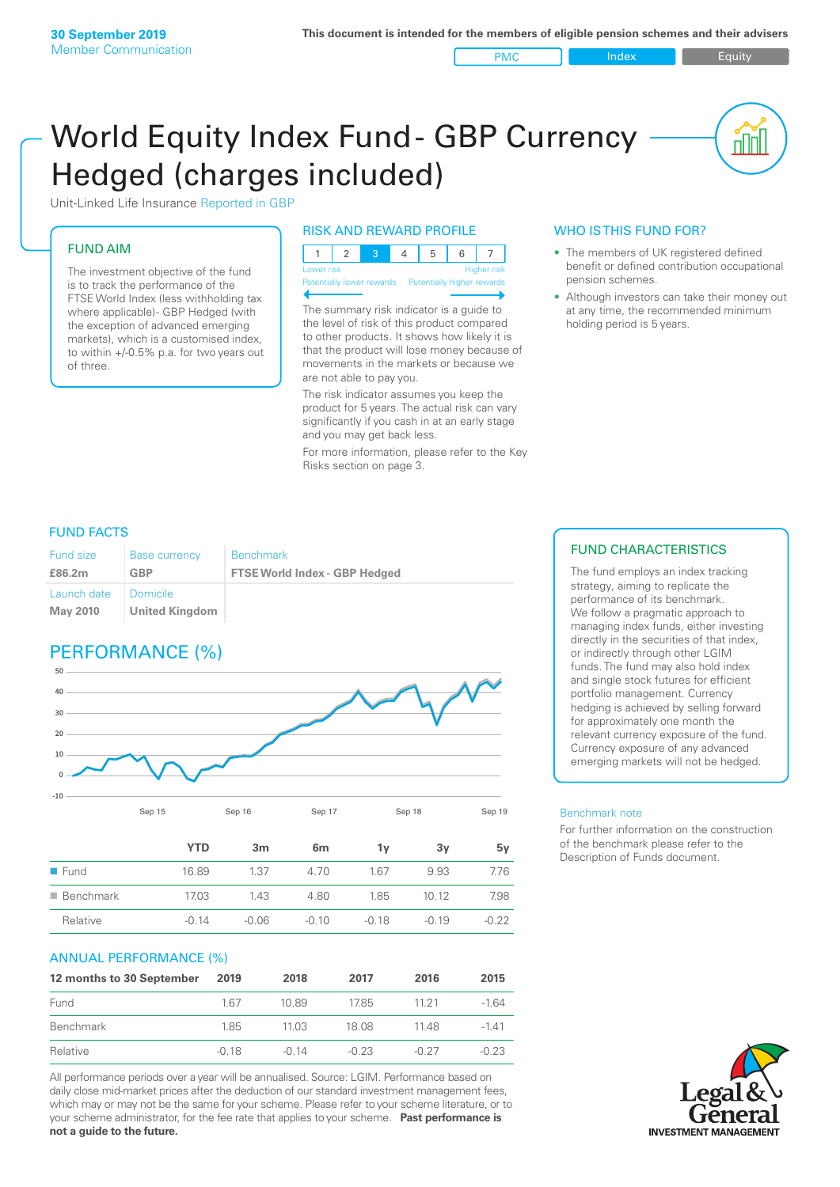PMC Index PMC Equity

nnl

# World Equity Index Fund- GBP Currency Hedged (charges included)



#### FUND AIM

The investment objective of the fund is to track the performance of the FTSE World Index (less withholding tax where applicable) - GBP Hedged (with the exception of advanced emerging markets), which is a customised index, to within +/‑0.5% p.a. for two years out of three.

#### RISK AND REWARD PROFILE

| Lower risk |  |  | <b>Higher</b> risk |
|------------|--|--|--------------------|

Potentially lower rewards Pote

The summary risk indicator is a guide to the level of risk of this product compared to other products. It shows how likely it is that the product will lose money because of movements in the markets or because we are not able to pay you.

The risk indicator assumes you keep the product for 5 years. The actual risk can vary significantly if you cash in at an early stage and you may get back less.

For more information, please refer to the Key Risks section on page 3.

### WHO IS THIS FUND FOR?

- The members of UK registered defined benefit or defined contribution occupational pension schemes.
- Although investors can take their money out at any time, the recommended minimum holding period is 5 years.

#### FUND FACTS

| <b>Fund size</b> | <b>Base currency</b>                         | <b>Benchmark</b>                     |
|------------------|----------------------------------------------|--------------------------------------|
| £86.2m           | GBP                                          | <b>FTSE World Index - GBP Hedged</b> |
| Launch date      | <b>Domicile</b><br>May 2010   United Kingdom |                                      |

# PERFORMANCE (%)



|                          | YTD     | 3 <sub>m</sub> | 6 <sub>m</sub> | 1ν      | 3v      | 5γ      |
|--------------------------|---------|----------------|----------------|---------|---------|---------|
| $\blacksquare$ Fund      | 16.89   | 1.37           | 4.70           | 1.67    | 9.93    | 7.76    |
| $\blacksquare$ Benchmark | 17.03   | 1.43           | 4.80           | 1.85    | 10.12   | 7.98    |
| Relative                 | $-0.14$ | $-0.06$        | $-0.10$        | $-0.18$ | $-0.19$ | $-0.22$ |

#### ANNUAL PERFORMANCE (%)

| 12 months to 30 September | 2019    | 2018    | 2017    | 2016    | 2015    |
|---------------------------|---------|---------|---------|---------|---------|
| Fund                      | 167     | 10.89   | 1785    | 11 21   | $-1.64$ |
| Benchmark                 | 1.85    | 1103    | 18.08   | 1148    | $-141$  |
| Relative                  | $-0.18$ | $-0.14$ | $-0.23$ | $-0.27$ | $-0.23$ |

All performance periods over a year will be annualised. Source: LGIM. Performance based on daily close mid-market prices after the deduction of our standard investment management fees, which may or may not be the same for your scheme. Please refer to your scheme literature, or to your scheme administrator, for the fee rate that applies to your scheme. **Past performance is not a guide to the future.**

### FUND CHARACTERISTICS

The fund employs an index tracking strategy, aiming to replicate the performance of its benchmark. We follow a pragmatic approach to managing index funds, either investing directly in the securities of that index, or indirectly through other LGIM funds. The fund may also hold index and single stock futures for efficient portfolio management. Currency hedging is achieved by selling forward for approximately one month the relevant currency exposure of the fund. Currency exposure of any advanced emerging markets will not be hedged.

#### Benchmark note

For further information on the construction of the benchmark please refer to the Description of Funds document.

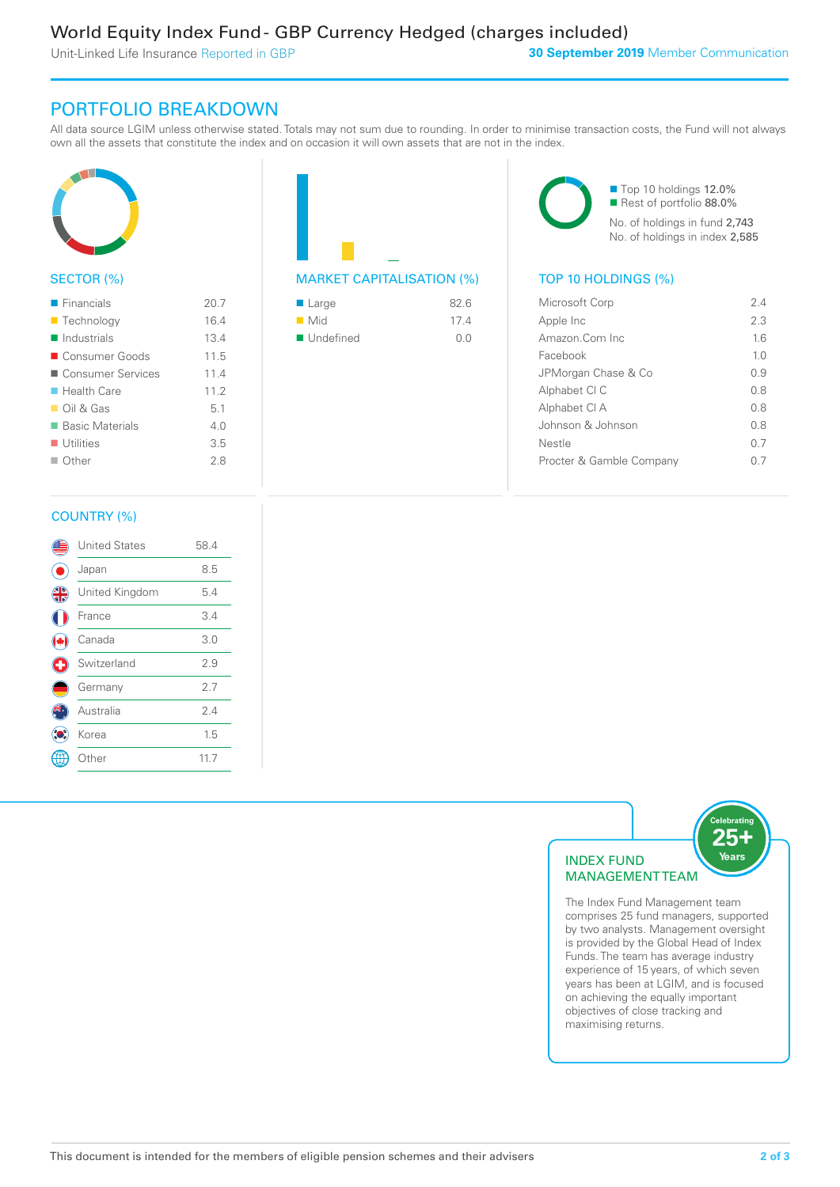Unit-Linked Life Insurance Reported in GBP

## PORTFOLIO BREAKDOWN

All data source LGIM unless otherwise stated. Totals may not sum due to rounding. In order to minimise transaction costs, the Fund will not always own all the assets that constitute the index and on occasion it will own assets that are not in the index.



#### SECTOR (%)

| $\blacksquare$ Financials  | 20.7 |
|----------------------------|------|
| ■ Technology               | 16.4 |
| $\blacksquare$ Industrials | 13.4 |
| ■ Consumer Goods           | 11.5 |
| ■ Consumer Services        | 11.4 |
| $\blacksquare$ Health Care | 112  |
| $\Box$ Oil & Gas           | 5.1  |
| ■ Basic Materials          | 40   |
| $\blacksquare$ Utilities   | 3.5  |
| $\Box$ Other               | 28   |
|                            |      |



| $\blacksquare$ Large     | 82.6 |
|--------------------------|------|
| $\blacksquare$ Mid       | 174  |
| $\blacksquare$ Undefined | O O  |

■ Top 10 holdings 12.0% Rest of portfolio 88.0% No. of holdings in fund 2,743 No. of holdings in index 2,585

| Microsoft Corp           | 24             |
|--------------------------|----------------|
| Apple Inc                | 2.3            |
| Amazon Com Inc.          | 16             |
| Facebook                 | 1 <sub>0</sub> |
| JPMorgan Chase & Co      | O 9            |
| Alphabet CI C            | 08             |
| Alphabet CI A            | 0 S            |
| Johnson & Johnson        | 0.8            |
| Nestle                   | 07             |
| Procter & Gamble Company |                |
|                          |                |

#### COUNTRY (%)

|   | <b>United States</b> | 58.4 |  |
|---|----------------------|------|--|
|   | Japan                | 8.5  |  |
| 4 | United Kingdom       | 5.4  |  |
|   | France               | 3.4  |  |
|   | Canada               | 3.0  |  |
| G | Switzerland          | 2.9  |  |
|   | Germany              | 2.7  |  |
|   | Australia            | 2.4  |  |
|   | Korea                | 1.5  |  |
|   | Other                | 11.7 |  |
|   |                      |      |  |



The Index Fund Management team comprises 25 fund managers, supported by two analysts. Management oversight is provided by the Global Head of Index Funds. The team has average industry experience of 15 years, of which seven years has been at LGIM, and is focused on achieving the equally important objectives of close tracking and maximising returns.